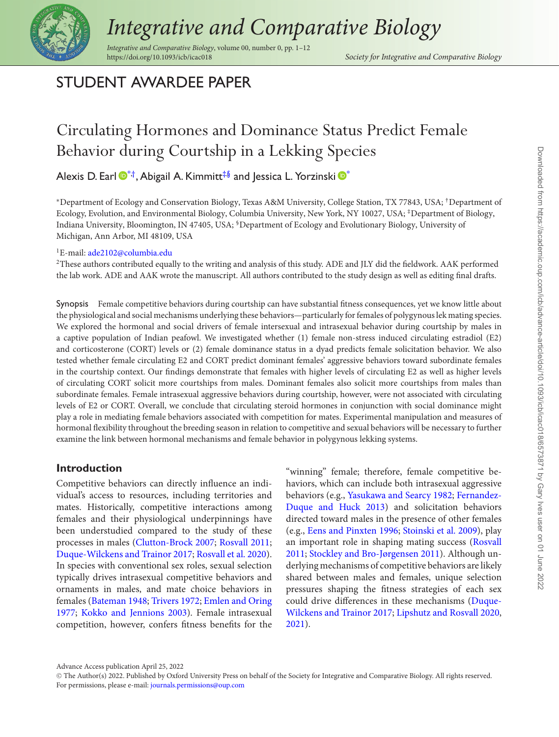

# *Integrative and Comparative Biology*

*Integrative and Comparative Biology*, volume 00, number 0, pp. 1–12

<span id="page-0-2"></span><span id="page-0-1"></span>Society for Integrative and Comparative Biology

### STUDENT AWARDEE PAPER

## Circulating Hormones and Dominance Status Predict Female Behavior during Courtship in a Lekking Species

Alexis D. Earl  $\mathbf{D}^*$  $\mathbf{D}^*$ <sup>†</sup>, Abigail A. Kimmitt<sup>‡§</sup> and Jessica L. Yorzinski  $\mathbf{D}^*$ 

<span id="page-0-0"></span><sup>∗</sup>Department of Ecology and Conservation Biology, Texas A&M University, College Station, TX 77843, USA; †Department of Ecology, Evolution, and Environmental Biology, Columbia University, New York, NY 10027, USA; ‡Department of Biology, Indiana University, Bloomington, IN 47405, USA; §Department of Ecology and Evolutionary Biology, University of Michigan, Ann Arbor, MI 48109, USA

<span id="page-0-3"></span><sup>1</sup>E-mail: [ade2102@columbia.edu](mailto:ade2102@columbia.edu)

 $2$ These authors contributed equally to the writing and analysis of this study. ADE and JLY did the fieldwork. AAK performed the lab work. ADE and AAK wrote the manuscript. All authors contributed to the study design as well as editing final drafts.

Synopsis Female competitive behaviors during courtship can have substantial fitness consequences, yet we know little about the physiological and social mechanisms underlying these behaviors—particularly for females of polygynous lek mating species. We explored the hormonal and social drivers of female intersexual and intrasexual behavior during courtship by males in a captive population of Indian peafowl. We investigated whether (1) female non-stress induced circulating estradiol (E2) and corticosterone (CORT) levels or (2) female dominance status in a dyad predicts female solicitation behavior. We also tested whether female circulating E2 and CORT predict dominant females' aggressive behaviors toward subordinate females in the courtship context. Our findings demonstrate that females with higher levels of circulating E2 as well as higher levels of circulating CORT solicit more courtships from males. Dominant females also solicit more courtships from males than subordinate females. Female intrasexual aggressive behaviors during courtship, however, were not associated with circulating levels of E2 or CORT. Overall, we conclude that circulating steroid hormones in conjunction with social dominance might play a role in mediating female behaviors associated with competition for mates. Experimental manipulation and measures of hormonal flexibility throughout the breeding season in relation to competitive and sexual behaviors will be necessary to further examine the link between hormonal mechanisms and female behavior in polygynous lekking systems.

#### **Introduction**

Competitive behaviors can directly influence an individual's access to resources, including territories and mates. Historically, competitive interactions among females and their physiological underpinnings have been understudied compared to the study of these processes in males [\(Clutton-Brock 2007;](#page-9-0) [Rosvall 2011;](#page-11-0) [Duque-Wilckens and Trainor 2017;](#page-9-1) [Rosvall et al. 2020\)](#page-11-1). In species with conventional sex roles, sexual selection typically drives intrasexual competitive behaviors and ornaments in males, and mate choice behaviors in females [\(Bateman 1948;](#page-9-2) [Trivers 1972;](#page-11-2) Emlen and Oring 1977; [Kokko and Jennions 2003\). Female intrasexual](#page-9-3) competition, however, confers fitness benefits for the

"winning" female; therefore, female competitive behaviors, which can include both intrasexual aggressive behaviors (e.g., [Yasukawa and Searcy 1982;](#page-11-3) Fernandez-[Duque and Huck 2013\) and solicitation behaviors](#page-9-4) directed toward males in the presence of other females (e.g., [Eens and Pinxten 1996;](#page-9-5) [Stoinski et al. 2009\)](#page-11-4), play [an important role in shaping mating success \(Rosvall](#page-11-0) 2011; [Stockley and Bro-Jørgensen 2011\)](#page-11-5). Although underlying mechanisms of competitive behaviors are likely shared between males and females, unique selection pressures shaping the fitness strategies of each sex [could drive differences in these mechanisms \(Duque-](#page-9-1)Wilckens and Trainor 2017; [Lipshutz and Rosvall 2020,](#page-10-1) [2021\)](#page-10-2).

Advance Access publication April 25, 2022

<sup>C</sup> The Author(s) 2022. Published by Oxford University Press on behalf of the Society for Integrative and Comparative Biology. All rights reserved. For permissions, please e-mail: [journals.permissions@oup.com](mailto:journals.permissions@oup.com)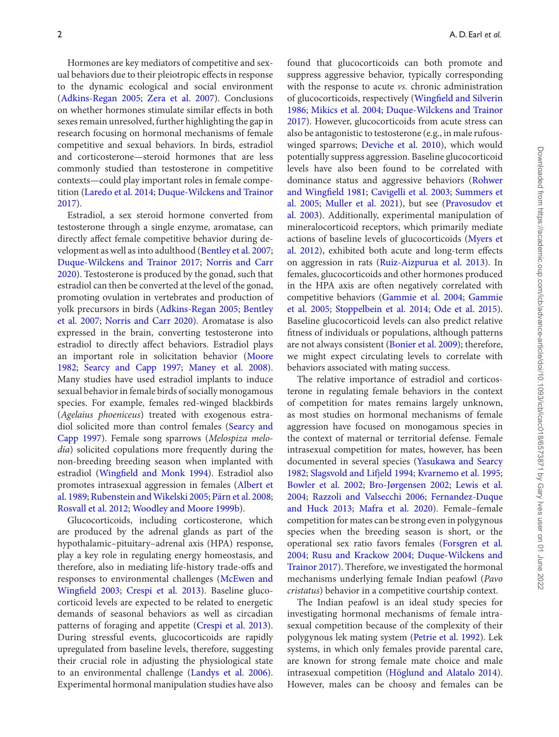Hormones are key mediators of competitive and sexual behaviors due to their pleiotropic effects in response to the dynamic ecological and social environment [\(Adkins-Regan 2005;](#page-8-0) [Zera et al. 2007\)](#page-11-6). Conclusions on whether hormones stimulate similar effects in both sexes remain unresolved, further highlighting the gap in research focusing on hormonal mechanisms of female competitive and sexual behaviors. In birds, estradiol and corticosterone—steroid hormones that are less commonly studied than testosterone in competitive contexts—could play important roles in female competition [\(Laredo et al. 2014;](#page-10-3) [Duque-Wilckens and Trainor](#page-9-1) 2017).

Estradiol, a sex steroid hormone converted from testosterone through a single enzyme, aromatase, can directly affect female competitive behavior during development as well as into adulthood [\(Bentley et al. 2007;](#page-9-6) [Duque-Wilckens and Trainor 2017;](#page-9-1) Norris and Carr [2020\). Testosterone is produced by the gonad, such that](#page-10-4) estradiol can then be converted at the level of the gonad, promoting ovulation in vertebrates and production of [yolk precursors in birds \(](#page-9-6)[Adkins-Regan 2005](#page-8-0)[;](#page-9-6) Bentley et al. 2007; [Norris and Carr 2020\)](#page-10-4). Aromatase is also expressed in the brain, converting testosterone into estradiol to directly affect behaviors. Estradiol plays [an important role in solicitation behavior \(Moore](#page-10-5) 1982; [Searcy and Capp 1997;](#page-11-7) [Maney et al. 2008\)](#page-10-6). Many studies have used estradiol implants to induce sexual behavior in female birds of socially monogamous species. For example, females red-winged blackbirds (*Agelaius phoeniceus*) treated with exogenous estra[diol solicited more than control females \(Searcy and](#page-11-7) Capp 1997). Female song sparrows (*Melospiza melodia*) solicited copulations more frequently during the non-breeding breeding season when implanted with estradiol [\(Wingfield and Monk 1994\)](#page-11-8). Estradiol also [promotes intrasexual aggression in females \(Albert et](#page-8-1) al. 1989; [Rubenstein and Wikelski 2005;](#page-11-9) [Pärn et al. 2008;](#page-10-7) [Rosvall et al. 2012;](#page-11-10) [Woodley and Moore 1999b\)](#page-11-11).

Glucocorticoids, including corticosterone, which are produced by the adrenal glands as part of the hypothalamic–pituitary–adrenal axis (HPA) response, play a key role in regulating energy homeostasis, and therefore, also in mediating life-history trade-offs and [responses to environmental challenges \(McEwen and](#page-10-8) Wingfield 2003; [Crespi et al. 2013\)](#page-9-7). Baseline glucocorticoid levels are expected to be related to energetic demands of seasonal behaviors as well as circadian patterns of foraging and appetite [\(Crespi et al. 2013\)](#page-9-7). During stressful events, glucocorticoids are rapidly upregulated from baseline levels, therefore, suggesting their crucial role in adjusting the physiological state to an environmental challenge [\(Landys et al. 2006\)](#page-10-9). Experimental hormonal manipulation studies have also found that glucocorticoids can both promote and suppress aggressive behavior, typically corresponding with the response to acute *vs.* chronic administration [of glucocorticoids, respectively \(Wingfield and Silverin](#page-11-12) 1986; [Mikics et al. 2004;](#page-10-10) Duque-Wilckens and Trainor [2017\). However, glucocorticoids from acute stress can](#page-9-1) also be antagonistic to testosterone (e.g., in male rufouswinged sparrows; [Deviche et al. 2010\)](#page-9-8), which would potentially suppress aggression. Baseline glucocorticoid levels have also been found to be correlated with [dominance status and aggressive behaviors \(Rohwer](#page-11-13) and Wingfield 1981; [Cavigelli et al. 2003;](#page-9-9) Summers et al. 2005; [Muller et al. 2021\), but see \(Pravosudov et](#page-11-14) [al. 2003\). Additionally, experimental manipulation of](#page-10-12) mineralocorticoid receptors, which primarily mediate actions of baseline levels of glucocorticoids (Myers et [al. 2012\), exhibited both acute and long-term effects](#page-10-13) on aggression in rats [\(Ruiz-Aizpurua et al. 2013\)](#page-11-15). In females, glucocorticoids and other hormones produced in the HPA axis are often negatively correlated with [competitive behaviors \(](#page-9-11)[Gammie et al. 2004](#page-9-10)[;](#page-9-11) Gammie et al. 2005; [Stoppelbein et al. 2014;](#page-11-16) [Ode et al. 2015\)](#page-10-14). Baseline glucocorticoid levels can also predict relative fitness of individuals or populations, although patterns are not always consistent [\(Bonier et al. 2009\)](#page-9-12); therefore, we might expect circulating levels to correlate with behaviors associated with mating success.

The relative importance of estradiol and corticosterone in regulating female behaviors in the context of competition for mates remains largely unknown, as most studies on hormonal mechanisms of female aggression have focused on monogamous species in the context of maternal or territorial defense. Female intrasexual competition for mates, however, has been [documented in several species \(Yasukawa and Searcy](#page-11-3) 1982; [Slagsvold and Lifjeld 1994;](#page-11-17) [Kvarnemo et al. 1995;](#page-10-15) [Bowler et al. 2002;](#page-9-13) [Bro-Jørgensen 2002;](#page-9-14) Lewis et al. 2004; [Razzoli and Valsecchi 2006;](#page-10-16) Fernandez-Duque and Huck 2013; [Mafra et al. 2020\). Female–female](#page-9-4) competition for mates can be strong even in polygynous species when the breeding season is short, or the [operational sex ratio favors females \(Forsgren et al.](#page-9-15) 2004; [Rusu and Krackow 2004;](#page-11-18) Duque-Wilckens and [Trainor 2017\). Therefore, we investigated the hormonal](#page-9-1) mechanisms underlying female Indian peafowl (*Pavo cristatus*) behavior in a competitive courtship context.

The Indian peafowl is an ideal study species for investigating hormonal mechanisms of female intrasexual competition because of the complexity of their polygynous lek mating system [\(Petrie et al. 1992\)](#page-10-19). Lek systems, in which only females provide parental care, are known for strong female mate choice and male intrasexual competition [\(Höglund and Alatalo 2014\)](#page-10-20). However, males can be choosy and females can be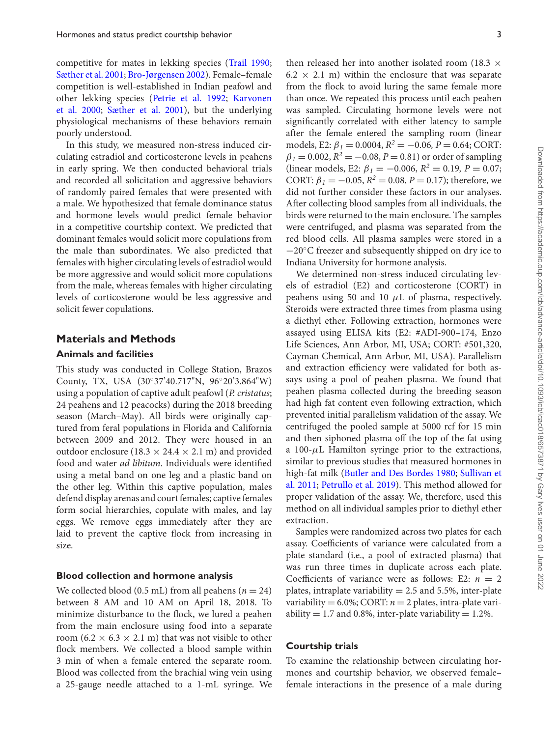competitive for mates in lekking species [\(Trail 1990;](#page-11-19) [Sæther et al. 2001;](#page-11-20) [Bro-Jørgensen 2002\)](#page-9-14). Female–female competition is well-established in Indian peafowl and [other lekking species \(](#page-10-21)[Petrie et al. 1992](#page-10-19)[;](#page-10-21) Karvonen et al. 2000; [Sæther et al. 2001\)](#page-11-20), but the underlying physiological mechanisms of these behaviors remain poorly understood.

In this study, we measured non-stress induced circulating estradiol and corticosterone levels in peahens in early spring. We then conducted behavioral trials and recorded all solicitation and aggressive behaviors of randomly paired females that were presented with a male. We hypothesized that female dominance status and hormone levels would predict female behavior in a competitive courtship context. We predicted that dominant females would solicit more copulations from the male than subordinates. We also predicted that females with higher circulating levels of estradiol would be more aggressive and would solicit more copulations from the male, whereas females with higher circulating levels of corticosterone would be less aggressive and solicit fewer copulations.

#### **Materials and Methods**

#### **Animals and facilities**

This study was conducted in College Station, Brazos County, TX, USA (30◦37'40.717"N, 96◦20'3.864"W) using a population of captive adult peafowl (*P. cristatus*; 24 peahens and 12 peacocks) during the 2018 breeding season (March–May). All birds were originally captured from feral populations in Florida and California between 2009 and 2012. They were housed in an outdoor enclosure (18.3  $\times$  24.4  $\times$  2.1 m) and provided food and water *ad libitum*. Individuals were identified using a metal band on one leg and a plastic band on the other leg. Within this captive population, males defend display arenas and court females; captive females form social hierarchies, copulate with males, and lay eggs. We remove eggs immediately after they are laid to prevent the captive flock from increasing in size.

#### **Blood collection and hormone analysis**

We collected blood  $(0.5 \text{ mL})$  from all peahens  $(n = 24)$ between 8 AM and 10 AM on April 18, 2018. To minimize disturbance to the flock, we lured a peahen from the main enclosure using food into a separate room (6.2  $\times$  6.3  $\times$  2.1 m) that was not visible to other flock members. We collected a blood sample within 3 min of when a female entered the separate room. Blood was collected from the brachial wing vein using a 25-gauge needle attached to a 1-mL syringe. We

then released her into another isolated room (18.3  $\times$  $6.2 \times 2.1$  m) within the enclosure that was separate from the flock to avoid luring the same female more than once. We repeated this process until each peahen was sampled. Circulating hormone levels were not significantly correlated with either latency to sample after the female entered the sampling room (linear models, E2:  $\beta_1 = 0.0004$ ,  $R^2 = -0.06$ ,  $P = 0.64$ ; CORT:  $\beta_1 = 0.002$ ,  $R^2 = -0.08$ ,  $P = 0.81$ ) or order of sampling (linear models, E2:  $\beta_1 = -0.006$ ,  $R^2 = 0.19$ ,  $P = 0.07$ ; CORT:  $\beta_1 = -0.05$ ,  $R^2 = 0.08$ ,  $P = 0.17$ ); therefore, we did not further consider these factors in our analyses. After collecting blood samples from all individuals, the birds were returned to the main enclosure. The samples were centrifuged, and plasma was separated from the red blood cells. All plasma samples were stored in a −20◦C freezer and subsequently shipped on dry ice to Indiana University for hormone analysis.

We determined non-stress induced circulating levels of estradiol (E2) and corticosterone (CORT) in peahens using 50 and 10  $\mu$ L of plasma, respectively. Steroids were extracted three times from plasma using a diethyl ether. Following extraction, hormones were assayed using ELISA kits (E2: #ADI-900–174, Enzo Life Sciences, Ann Arbor, MI, USA; CORT: #501,320, Cayman Chemical, Ann Arbor, MI, USA). Parallelism and extraction efficiency were validated for both assays using a pool of peahen plasma. We found that peahen plasma collected during the breeding season had high fat content even following extraction, which prevented initial parallelism validation of the assay. We centrifuged the pooled sample at 5000 rcf for 15 min and then siphoned plasma off the top of the fat using a 100- $\mu$ L Hamilton syringe prior to the extractions, similar to previous studies that measured hormones in high-fat milk [\(Butler and Des Bordes 1980;](#page-9-16) Sullivan et al. 2011; [Petrullo et al. 2019\). This method allowed for](#page-11-21) proper validation of the assay. We, therefore, used this method on all individual samples prior to diethyl ether extraction.

Samples were randomized across two plates for each assay. Coefficients of variance were calculated from a plate standard (i.e., a pool of extracted plasma) that was run three times in duplicate across each plate. Coefficients of variance were as follows: E2:  $n = 2$ plates, intraplate variability  $= 2.5$  and 5.5%, inter-plate variability =  $6.0\%$ ; CORT:  $n = 2$  plates, intra-plate variability = 1.7 and 0.8%, inter-plate variability =  $1.2\%$ .

#### **Courtship trials**

To examine the relationship between circulating hormones and courtship behavior, we observed female– female interactions in the presence of a male during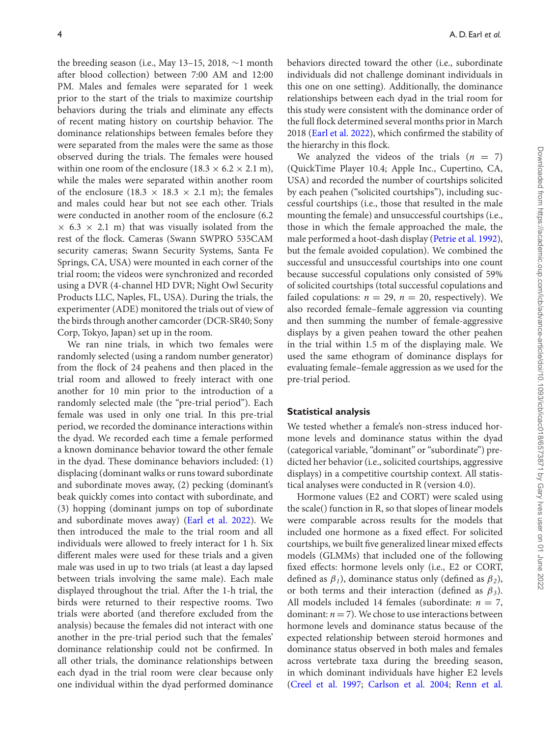the breeding season (i.e., May 13–15, 2018, ∼1 month after blood collection) between 7:00 AM and 12:00 PM. Males and females were separated for 1 week prior to the start of the trials to maximize courtship behaviors during the trials and eliminate any effects of recent mating history on courtship behavior. The dominance relationships between females before they were separated from the males were the same as those observed during the trials. The females were housed within one room of the enclosure (18.3  $\times$  6.2  $\times$  2.1 m), while the males were separated within another room of the enclosure (18.3  $\times$  18.3  $\times$  2.1 m); the females and males could hear but not see each other. Trials were conducted in another room of the enclosure (6.2  $\times$  6.3  $\times$  2.1 m) that was visually isolated from the rest of the flock. Cameras (Swann SWPRO 535CAM security cameras; Swann Security Systems, Santa Fe Springs, CA, USA) were mounted in each corner of the trial room; the videos were synchronized and recorded using a DVR (4-channel HD DVR; Night Owl Security Products LLC, Naples, FL, USA). During the trials, the experimenter (ADE) monitored the trials out of view of the birds through another camcorder (DCR-SR40; Sony Corp, Tokyo, Japan) set up in the room.

We ran nine trials, in which two females were randomly selected (using a random number generator) from the flock of 24 peahens and then placed in the trial room and allowed to freely interact with one another for 10 min prior to the introduction of a randomly selected male (the "pre-trial period"). Each female was used in only one trial. In this pre-trial period, we recorded the dominance interactions within the dyad. We recorded each time a female performed a known dominance behavior toward the other female in the dyad. These dominance behaviors included: (1) displacing (dominant walks or runs toward subordinate and subordinate moves away, (2) pecking (dominant's beak quickly comes into contact with subordinate, and (3) hopping (dominant jumps on top of subordinate and subordinate moves away) [\(Earl et al. 2022\)](#page-9-17). We then introduced the male to the trial room and all individuals were allowed to freely interact for 1 h. Six different males were used for these trials and a given male was used in up to two trials (at least a day lapsed between trials involving the same male). Each male displayed throughout the trial. After the 1-h trial, the birds were returned to their respective rooms. Two trials were aborted (and therefore excluded from the analysis) because the females did not interact with one another in the pre-trial period such that the females' dominance relationship could not be confirmed. In all other trials, the dominance relationships between each dyad in the trial room were clear because only one individual within the dyad performed dominance behaviors directed toward the other (i.e., subordinate individuals did not challenge dominant individuals in this one on one setting). Additionally, the dominance relationships between each dyad in the trial room for this study were consistent with the dominance order of the full flock determined several months prior in March 2018 [\(Earl et al. 2022\)](#page-9-17), which confirmed the stability of the hierarchy in this flock.

We analyzed the videos of the trials  $(n = 7)$ (QuickTime Player 10.4; Apple Inc., Cupertino, CA, USA) and recorded the number of courtships solicited by each peahen ("solicited courtships"), including successful courtships (i.e., those that resulted in the male mounting the female) and unsuccessful courtships (i.e., those in which the female approached the male, the male performed a hoot-dash display [\(Petrie et al. 1992\)](#page-10-19), but the female avoided copulation). We combined the successful and unsuccessful courtships into one count because successful copulations only consisted of 59% of solicited courtships (total successful copulations and failed copulations:  $n = 29$ ,  $n = 20$ , respectively). We also recorded female–female aggression via counting and then summing the number of female-aggressive displays by a given peahen toward the other peahen in the trial within 1.5 m of the displaying male. We used the same ethogram of dominance displays for evaluating female–female aggression as we used for the pre-trial period.

#### **Statistical analysis**

We tested whether a female's non-stress induced hormone levels and dominance status within the dyad (categorical variable, "dominant" or "subordinate") predicted her behavior (i.e., solicited courtships, aggressive displays) in a competitive courtship context. All statistical analyses were conducted in R (version 4.0).

Hormone values (E2 and CORT) were scaled using the scale() function in R, so that slopes of linear models were comparable across results for the models that included one hormone as a fixed effect. For solicited courtships, we built five generalized linear mixed effects models (GLMMs) that included one of the following fixed effects: hormone levels only (i.e., E2 or CORT, defined as  $\beta_1$ ), dominance status only (defined as  $\beta_2$ ), or both terms and their interaction (defined as  $\beta_3$ ). All models included 14 females (subordinate:  $n = 7$ , dominant:  $n = 7$ ). We chose to use interactions between hormone levels and dominance status because of the expected relationship between steroid hormones and dominance status observed in both males and females across vertebrate taxa during the breeding season, in which dominant individuals have higher E2 levels [\(Creel et al. 1997;](#page-9-18) [Carlson et al. 2004;](#page-9-19) [Renn et al.](#page-10-23)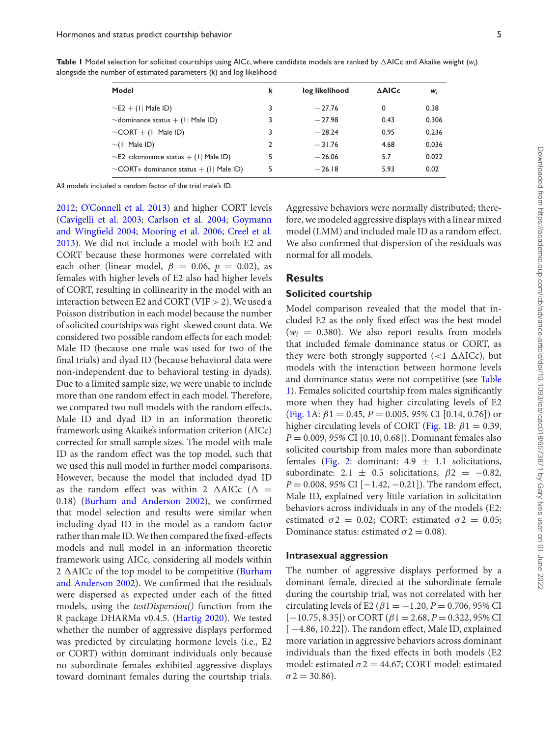| I<br>I<br>è                                                          |
|----------------------------------------------------------------------|
| $\overline{\phantom{a}}$<br>ś<br>ì                                   |
| ֖֖֖֖֖֖֖֖֧֖֖֧֪֪ׅ֧֖֧֧֚֚֚֚֚֚֚֚֚֚֚֚֚֚֚֚֚֚֚֚֚֚֚֚֚֚֚֬֝֓֞֡֝֓֞֝֬֓֞֝֓֞֝֬<br>Ę |
| Ï<br>j<br>ļ<br>j                                                     |
| j<br>S                                                               |
| Ó<br>١                                                               |
| ļ                                                                    |
| $\subseteq$                                                          |
|                                                                      |
| j                                                                    |
| i<br>j                                                               |
| $\frac{1}{2}$<br>j                                                   |
|                                                                      |
| ś<br>١<br>i<br>ہ<br>و                                                |
| j<br>Ś<br>ž                                                          |
| ١                                                                    |
| j                                                                    |
| $rac{1}{2}$<br>i                                                     |
| i                                                                    |
| S<br>7                                                               |
| ï                                                                    |
| Ï<br>١                                                               |
|                                                                      |
|                                                                      |
| i ou oi<br>ÿ                                                         |
| ļ<br>j                                                               |
| Ś<br>3<br>é                                                          |
| ì<br>Š                                                               |
| 3<br>ļ<br>١                                                          |
| l<br>۱<br>١                                                          |
| ś<br>j                                                               |
| S<br>ċ<br>ł                                                          |
| $\overline{\phantom{a}}$                                             |
| ļ                                                                    |
| .<br>م                                                               |
|                                                                      |
| ă                                                                    |
| j<br>$\mathbf$                                                       |
|                                                                      |
| l<br>J                                                               |
| l<br>ļ                                                               |
| ļ                                                                    |
| j<br>ÿ                                                               |
|                                                                      |
| Š                                                                    |
| כ<br>ל<br>دام<br>I                                                   |
| $\lambda$                                                            |
| ć<br>Č<br>ļ                                                          |
| i<br>¢<br>l<br>ţ<br>١                                                |
| l                                                                    |
| င္က<br>١<br>l                                                        |
| j                                                                    |
| ı                                                                    |
| Ż<br>2                                                               |
| )                                                                    |
| $\zeta$<br>ΰ<br>ļ                                                    |
| Ï                                                                    |
|                                                                      |
| Μ<br>Θ                                                               |
| 5<br>İ                                                               |
| Ś                                                                    |
| 5<br>$rac{1}{2}$                                                     |
| i                                                                    |
| $\ddot{\Omega}$<br>ź                                                 |
| j                                                                    |
|                                                                      |
| È                                                                    |
| j<br>Ï<br>ׇ֬֘                                                        |
|                                                                      |
| Ì<br>3<br>¢<br>I<br>Š                                                |

Dow

<span id="page-4-0"></span>**Table 1** Model selection for solicited courtships using AICc, where candidate models are ranked by AICc and Akaike weight (*wi*) alongside the number of estimated parameters (*k*) and log likelihood

| Model                                        | k | log likelihood | <b>AAICc</b> | Wi    |
|----------------------------------------------|---|----------------|--------------|-------|
| $\sim$ E2 + (1  Male ID)                     | 3 | $-27.76$       | 0            | 0.38  |
| $\sim$ dominance status + (1  Male ID)       | 3 | $-27.98$       | 0.43         | 0.306 |
| $\sim$ CORT + (1  Male ID)                   | 3 | $-28.24$       | 0.95         | 0.236 |
| $\sim$ (1  Male ID)                          | 2 | $-31.76$       | 4.68         | 0.036 |
| $\sim$ E2 *dominance status + (1  Male ID)   | 5 | $-26.06$       | 5.7          | 0.022 |
| $\sim$ CORT* dominance status + (1  Male ID) | 5 | $-26.18$       | 5.93         | 0.02  |

All models included a random factor of the trial male's ID.

[2012;](#page-10-23) [O'Connell et al. 2013\)](#page-10-24) and higher CORT levels [\(](#page-9-20)[Cavigelli et al. 2003](#page-9-9)[;](#page-9-20) [Carlson et al. 2004;](#page-9-19) Goymann and Wingfield 2004; [Mooring et al. 2006;](#page-10-25) Creel et al. [2013\). We did not include a model with both E2 and](#page-9-21) CORT because these hormones were correlated with each other (linear model,  $\beta = 0.06$ ,  $p = 0.02$ ), as females with higher levels of E2 also had higher levels of CORT, resulting in collinearity in the model with an interaction between E2 and CORT (VIF  $>$  2). We used a Poisson distribution in each model because the number of solicited courtships was right-skewed count data. We considered two possible random effects for each model: Male ID (because one male was used for two of the final trials) and dyad ID (because behavioral data were non-independent due to behavioral testing in dyads). Due to a limited sample size, we were unable to include more than one random effect in each model. Therefore, we compared two null models with the random effects, Male ID and dyad ID in an information theoretic framework using Akaike's information criterion (AICc) corrected for small sample sizes. The model with male ID as the random effect was the top model, such that we used this null model in further model comparisons. However, because the model that included dyad ID as the random effect was within 2  $\triangle$ AICc ( $\triangle$  = 0.18) [\(Burham and Anderson 2002\)](#page-9-22), we confirmed that model selection and results were similar when including dyad ID in the model as a random factor rather than male ID.We then compared the fixed-effects models and null model in an information theoretic framework using AICc, considering all models within 2  $\triangle$  AICc of the top model to be competitive (Burham [and Anderson 2002\). We confirmed that the residuals](#page-9-22) were dispersed as expected under each of the fitted models, using the *testDispersion()* function from the R package DHARMa v0.4.5. [\(Hartig 2020\)](#page-10-26). We tested whether the number of aggressive displays performed was predicted by circulating hormone levels (i.e., E2 or CORT) within dominant individuals only because no subordinate females exhibited aggressive displays toward dominant females during the courtship trials.

Aggressive behaviors were normally distributed; therefore, we modeled aggressive displays with a linear mixed model (LMM) and included male ID as a random effect. We also confirmed that dispersion of the residuals was normal for all models.

#### **Results**

#### **Solicited courtship**

Model comparison revealed that the model that included E2 as the only fixed effect was the best model  $(w<sub>i</sub> = 0.380)$ . We also report results from models that included female dominance status or CORT, as they were both strongly supported  $(<1 \triangle AICc)$ , but models with the interaction between hormone levels and dominance status were not competitive (see Table [1\). Females solicited courtship from males significantly](#page-4-0) more when they had higher circulating levels of E2 [\(Fig. 1A](#page-5-0):  $\beta$ 1 = 0.45, *P* = 0.005, 95% CI [0.14, 0.76]) or higher circulating levels of CORT [\(Fig. 1B](#page-5-0):  $\beta$ 1 = 0.39, *P* = 0.009, *95%* CI [0.10, 0.68]). Dominant females also solicited courtship from males more than subordinate females [\(Fig. 2:](#page-5-1) dominant:  $4.9 \pm 1.1$  solicitations, subordinate:  $2.1 \pm 0.5$  solicitations,  $\beta$ 2 = -0.82, *P* = 0.008, 95% CI [−1.42, −0.21]). The random effect, Male ID, explained very little variation in solicitation behaviors across individuals in any of the models (E2: estimated  $\sigma$ 2 = 0.02; CORT: estimated  $\sigma$ 2 = 0.05; Dominance status: estimated  $\sigma$ 2 = 0.08).

#### **Intrasexual aggression**

The number of aggressive displays performed by a dominant female, directed at the subordinate female during the courtship trial, was not correlated with her circulating levels of E2 ( $\beta$ 1 =  $-1.20$ ,  $P = 0.706$ , 95% CI  $[-10.75, 8.35]$ ) or CORT ( $\beta$ 1 = 2.68, *P* = 0.322, 95% CI [-4.86, 10.22]). The random effect, Male ID, explained more variation in aggressive behaviors across dominant individuals than the fixed effects in both models (E2 model: estimated  $\sigma$ 2 = 44.67; CORT model: estimated  $\sigma$ 2 = 30.86).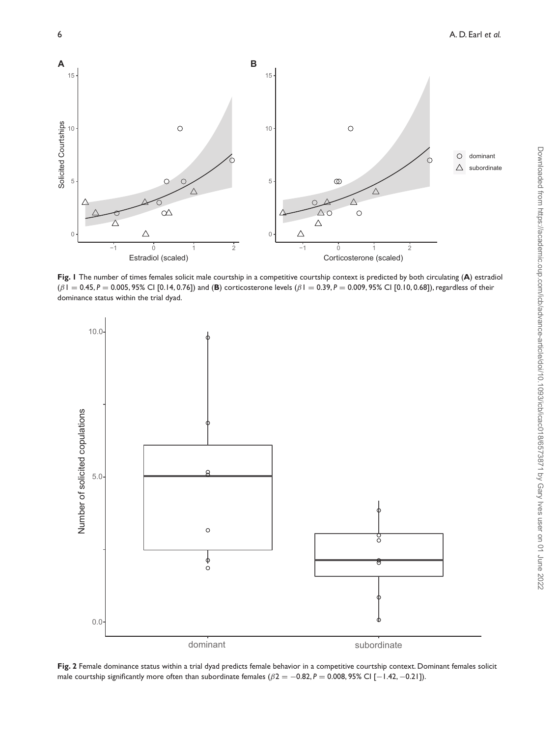<span id="page-5-0"></span>

**Fig. 1** The number of times females solicit male courtship in a competitive courtship context is predicted by both circulating (**A**) estradiol (β1 = 0.45, *P* = 0.005, 95% CI [0.14, 0.76]) and (**B**) corticosterone levels (β1 = 0.39, *P* = 0.009, 95% CI [0.10, 0.68]), regardless of their dominance status within the trial dyad.

<span id="page-5-1"></span>

**Fig. 2** Female dominance status within a trial dyad predicts female behavior in a competitive courtship context. Dominant females solicit male courtship significantly more often than subordinate females  $(\beta 2 = -0.82, P = 0.008, 95\%$  CI [−1.42, −0.21]).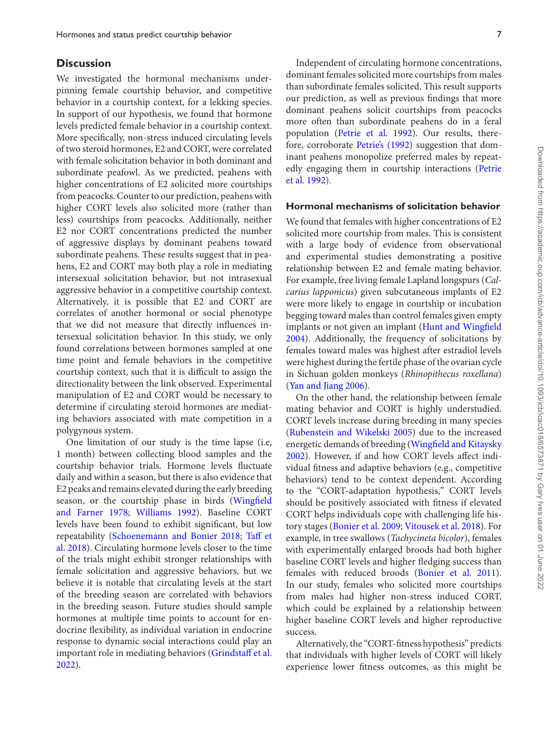#### **Discussion**

We investigated the hormonal mechanisms underpinning female courtship behavior, and competitive behavior in a courtship context, for a lekking species. In support of our hypothesis, we found that hormone levels predicted female behavior in a courtship context. More specifically, non-stress induced circulating levels of two steroid hormones, E2 and CORT, were correlated with female solicitation behavior in both dominant and subordinate peafowl. As we predicted, peahens with higher concentrations of E2 solicited more courtships from peacocks. Counter to our prediction, peahens with higher CORT levels also solicited more (rather than less) courtships from peacocks. Additionally, neither E2 nor CORT concentrations predicted the number of aggressive displays by dominant peahens toward subordinate peahens. These results suggest that in peahens, E2 and CORT may both play a role in mediating intersexual solicitation behavior, but not intrasexual aggressive behavior in a competitive courtship context. Alternatively, it is possible that E2 and CORT are correlates of another hormonal or social phenotype that we did not measure that directly influences intersexual solicitation behavior. In this study, we only found correlations between hormones sampled at one time point and female behaviors in the competitive courtship context, such that it is difficult to assign the directionality between the link observed. Experimental manipulation of E2 and CORT would be necessary to determine if circulating steroid hormones are mediating behaviors associated with mate competition in a polygynous system.

One limitation of our study is the time lapse (i.e, 1 month) between collecting blood samples and the courtship behavior trials. Hormone levels fluctuate daily and within a season, but there is also evidence that E2 peaks and remains elevated during the early breeding [season, or the courtship phase in birds \(Wingfield](#page-11-22) and Farner 1978; [Williams 1992\)](#page-11-23). Baseline CORT levels have been found to exhibit significant, but low repeatability [\(Schoenemann and Bonier 2018;](#page-11-24) Taff et [al. 2018\). Circulating hormone levels closer to the time](#page-11-25) of the trials might exhibit stronger relationships with female solicitation and aggressive behaviors, but we believe it is notable that circulating levels at the start of the breeding season are correlated with behaviors in the breeding season. Future studies should sample hormones at multiple time points to account for endocrine flexibility, as individual variation in endocrine response to dynamic social interactions could play an [important role in mediating behaviors \(Grindstaff et al.](#page-9-23) 2022).

Independent of circulating hormone concentrations, dominant females solicited more courtships from males than subordinate females solicited. This result supports our prediction, as well as previous findings that more dominant peahens solicit courtships from peacocks more often than subordinate peahens do in a feral population [\(Petrie et al. 1992\)](#page-10-19). Our results, therefore, corroborate [Petrie's \(1992\)](#page-10-27) suggestion that dominant peahens monopolize preferred males by repeat[edly engaging them in courtship interactions \(Petrie](#page-10-19) et al. 1992).

#### **Hormonal mechanisms of solicitation behavior**

We found that females with higher concentrations of E2 solicited more courtship from males. This is consistent with a large body of evidence from observational and experimental studies demonstrating a positive relationship between E2 and female mating behavior. For example, free living female Lapland longspurs (*Calcarius lapponicus*) given subcutaneous implants of E2 were more likely to engage in courtship or incubation begging toward males than control females given empty [implants or not given an implant \(Hunt and Wingfield](#page-10-28) 2004). Additionally, the frequency of solicitations by females toward males was highest after estradiol levels were highest during the fertile phase of the ovarian cycle in Sichuan golden monkeys (*Rhinopithecus roxellana*) [\(Yan and Jiang 2006\)](#page-11-26).

On the other hand, the relationship between female mating behavior and CORT is highly understudied. CORT levels increase during breeding in many species [\(Rubenstein and Wikelski 2005\)](#page-11-9) due to the increased energetic demands of breeding (Wingfield and Kitaysky [2002\). However, if and how CORT levels affect indi](#page-11-27)vidual fitness and adaptive behaviors (e.g., competitive behaviors) tend to be context dependent. According to the "CORT-adaptation hypothesis," CORT levels should be positively associated with fitness if elevated CORT helps individuals cope with challenging life history stages [\(Bonier et al. 2009;](#page-9-12) [Vitousek et al. 2018\)](#page-11-28). For example, in tree swallows (*Tachycineta bicolor*), females with experimentally enlarged broods had both higher baseline CORT levels and higher fledging success than females with reduced broods [\(Bonier et al. 2011\)](#page-9-24). In our study, females who solicited more courtships from males had higher non-stress induced CORT, which could be explained by a relationship between higher baseline CORT levels and higher reproductive success.

Alternatively, the "CORT-fitness hypothesis" predicts that individuals with higher levels of CORT will likely experience lower fitness outcomes, as this might be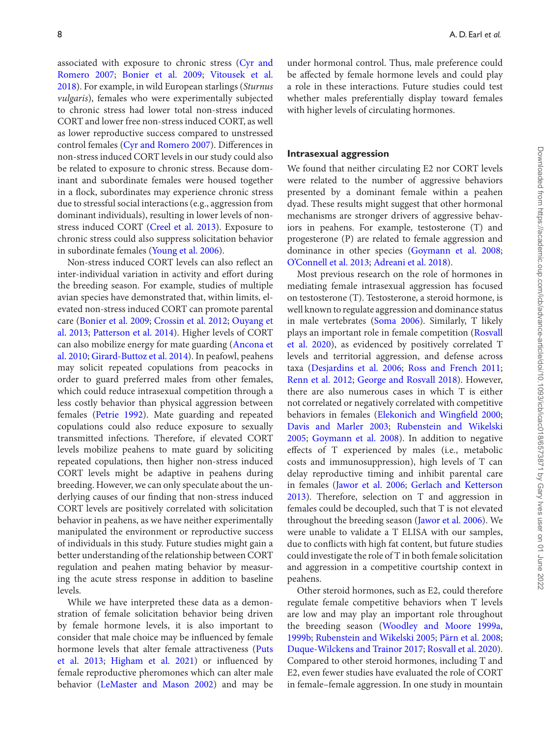[associated with exposure to chronic stress \(Cyr and](#page-9-25) Romero 2007; [Bonier et al. 2009;](#page-9-12) Vitousek et al. [2018\). For example, in wild European starlings \(](#page-11-28)*Sturnus vulgaris*), females who were experimentally subjected to chronic stress had lower total non-stress induced CORT and lower free non-stress induced CORT, as well as lower reproductive success compared to unstressed control females [\(Cyr and Romero 2007\)](#page-9-25). Differences in non-stress induced CORT levels in our study could also be related to exposure to chronic stress. Because dominant and subordinate females were housed together in a flock, subordinates may experience chronic stress due to stressful social interactions (e.g., aggression from dominant individuals), resulting in lower levels of nonstress induced CORT [\(Creel et al. 2013\)](#page-9-21). Exposure to chronic stress could also suppress solicitation behavior in subordinate females [\(Young et al. 2006\)](#page-11-29).

Non-stress induced CORT levels can also reflect an inter-individual variation in activity and effort during the breeding season. For example, studies of multiple avian species have demonstrated that, within limits, elevated non-stress induced CORT can promote parental care [\(Bonier et al. 2009;](#page-9-12) [Crossin et al. 2012;](#page-9-26) Ouyang et al. 2013; [Patterson et al. 2014\). Higher levels of CORT](#page-10-29) [can also mobilize energy for mate guarding \(Ancona et](#page-9-27) al. 2010; [Girard-Buttoz et al. 2014\)](#page-9-28). In peafowl, peahens may solicit repeated copulations from peacocks in order to guard preferred males from other females, which could reduce intrasexual competition through a less costly behavior than physical aggression between females [\(Petrie 1992\)](#page-10-27). Mate guarding and repeated copulations could also reduce exposure to sexually transmitted infections. Therefore, if elevated CORT levels mobilize peahens to mate guard by soliciting repeated copulations, then higher non-stress induced CORT levels might be adaptive in peahens during breeding. However, we can only speculate about the underlying causes of our finding that non-stress induced CORT levels are positively correlated with solicitation behavior in peahens, as we have neither experimentally manipulated the environment or reproductive success of individuals in this study. Future studies might gain a better understanding of the relationship between CORT regulation and peahen mating behavior by measuring the acute stress response in addition to baseline levels.

While we have interpreted these data as a demonstration of female solicitation behavior being driven by female hormone levels, it is also important to consider that male choice may be influenced by female [hormone levels that alter female attractiveness \(Puts](#page-10-31) et al. 2013; [Higham et al. 2021\)](#page-10-32) or influenced by female reproductive pheromones which can alter male behavior [\(LeMaster and Mason 2002\)](#page-10-33) and may be under hormonal control. Thus, male preference could be affected by female hormone levels and could play a role in these interactions. Future studies could test whether males preferentially display toward females with higher levels of circulating hormones.

#### **Intrasexual aggression**

We found that neither circulating E2 nor CORT levels were related to the number of aggressive behaviors presented by a dominant female within a peahen dyad. These results might suggest that other hormonal mechanisms are stronger drivers of aggressive behaviors in peahens. For example, testosterone (T) and progesterone (P) are related to female aggression and dominance in other species [\(Goymann et al. 2008;](#page-9-29) [O'Connell et al. 2013;](#page-10-24) [Adreani et al. 2018\)](#page-8-2).

Most previous research on the role of hormones in mediating female intrasexual aggression has focused on testosterone (T). Testosterone, a steroid hormone, is well known to regulate aggression and dominance status in male vertebrates [\(Soma 2006\)](#page-11-30). Similarly, T likely plays an important role in female competition (Rosvall [et al. 2020\), as evidenced by positively correlated T](#page-11-1) levels and territorial aggression, and defense across taxa [\(Desjardins et al. 2006;](#page-9-30) [Ross and French 2011;](#page-11-31) [Renn et al. 2012;](#page-10-23) [George and Rosvall 2018\)](#page-9-31). However, there are also numerous cases in which T is either not correlated or negatively correlated with competitive behaviors in females [\(Elekonich and Wingfield 2000;](#page-9-32) [Davis and Marler 2003;](#page-9-33) Rubenstein and Wikelski 2005; [Goymann et al. 2008\). In addition to negative](#page-11-9) effects of T experienced by males (i.e., metabolic costs and immunosuppression), high levels of T can delay reproductive timing and inhibit parental care in females [\(Jawor et al. 2006;](#page-10-34) Gerlach and Ketterson [2013\). Therefore, selection on T and aggression in](#page-9-34) females could be decoupled, such that T is not elevated throughout the breeding season [\(Jawor et al. 2006\)](#page-10-34). We were unable to validate a T ELISA with our samples, due to conflicts with high fat content, but future studies could investigate the role of T in both female solicitation and aggression in a competitive courtship context in peahens.

Other steroid hormones, such as E2, could therefore regulate female competitive behaviors when T levels are low and may play an important role throughout the breeding season [\(Woodley and Moore 1999a,](#page-11-32) [1999b;](#page-11-11) [Rubenstein and Wikelski 2005;](#page-11-9) [Pärn et al. 2008;](#page-10-7) [Duque-Wilckens and Trainor 2017;](#page-9-1) [Rosvall et al. 2020\)](#page-11-1). Compared to other steroid hormones, including T and E2, even fewer studies have evaluated the role of CORT in female–female aggression. In one study in mountain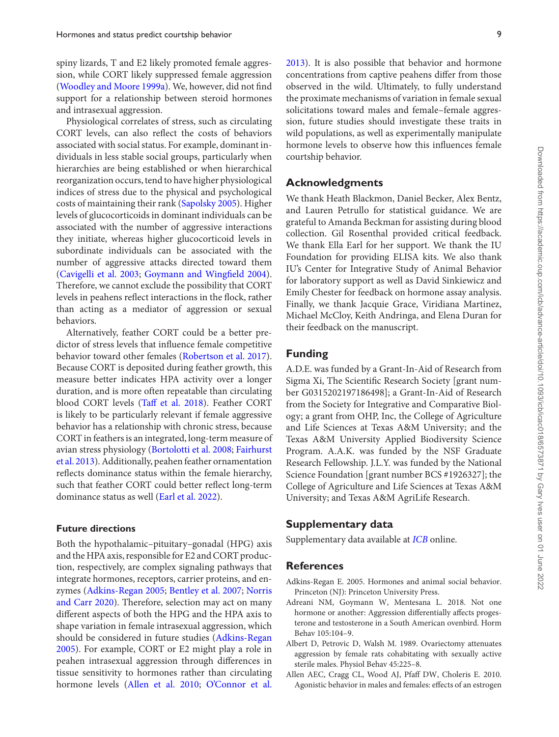spiny lizards, T and E2 likely promoted female aggression, while CORT likely suppressed female aggression [\(Woodley and Moore 1999a\)](#page-11-32). We, however, did not find support for a relationship between steroid hormones and intrasexual aggression.

Physiological correlates of stress, such as circulating CORT levels, can also reflect the costs of behaviors associated with social status. For example, dominant individuals in less stable social groups, particularly when hierarchies are being established or when hierarchical reorganization occurs, tend to have higher physiological indices of stress due to the physical and psychological costs of maintaining their rank [\(Sapolsky 2005\)](#page-11-33). Higher levels of glucocorticoids in dominant individuals can be associated with the number of aggressive interactions they initiate, whereas higher glucocorticoid levels in subordinate individuals can be associated with the number of aggressive attacks directed toward them [\(Cavigelli et al. 2003;](#page-9-9) [Goymann and Wingfield 2004\)](#page-9-20). Therefore, we cannot exclude the possibility that CORT levels in peahens reflect interactions in the flock, rather than acting as a mediator of aggression or sexual behaviors.

Alternatively, feather CORT could be a better predictor of stress levels that influence female competitive behavior toward other females [\(Robertson et al. 2017\)](#page-11-34). Because CORT is deposited during feather growth, this measure better indicates HPA activity over a longer duration, and is more often repeatable than circulating blood CORT levels [\(Taff et al. 2018\)](#page-11-25). Feather CORT is likely to be particularly relevant if female aggressive behavior has a relationship with chronic stress, because CORT in feathers is an integrated, long-term measure of avian stress physiology [\(Bortolotti et al. 2008;](#page-9-35) Fairhurst [et al. 2013\). Additionally, peahen feather ornamentation](#page-9-36) reflects dominance status within the female hierarchy, such that feather CORT could better reflect long-term dominance status as well [\(Earl et al. 2022\)](#page-9-17).

#### **Future directions**

Both the hypothalamic–pituitary–gonadal (HPG) axis and the HPA axis, responsible for E2 and CORT production, respectively, are complex signaling pathways that integrate hormones, receptors, carrier proteins, and enzymes [\(Adkins-Regan 2005;](#page-8-0) [Bentley et al. 2007;](#page-9-6) Norris [and Carr 2020\). Therefore, selection may act on many](#page-10-4) different aspects of both the HPG and the HPA axis to shape variation in female intrasexual aggression, which [should be considered in future studies \(Adkins-Regan](#page-8-0) 2005). For example, CORT or E2 might play a role in peahen intrasexual aggression through differences in tissue sensitivity to hormones rather than circulating hormone levels [\(Allen et al. 2010;](#page-8-3) [O'Connor et al.](#page-10-35)

observed in the wild. Ultimately, to fully understand the proximate mechanisms of variation in female sexual solicitations toward males and female–female aggression, future studies should investigate these traits in wild populations, as well as experimentally manipulate hormone levels to observe how this influences female courtship behavior.

#### **Acknowledgments**

We thank Heath Blackmon, Daniel Becker, Alex Bentz, and Lauren Petrullo for statistical guidance. We are grateful to Amanda Beckman for assisting during blood collection. Gil Rosenthal provided critical feedback. We thank Ella Earl for her support. We thank the IU Foundation for providing ELISA kits. We also thank IU's Center for Integrative Study of Animal Behavior for laboratory support as well as David Sinkiewicz and Emily Chester for feedback on hormone assay analysis. Finally, we thank Jacquie Grace, Viridiana Martinez, Michael McCloy, Keith Andringa, and Elena Duran for their feedback on the manuscript.

#### **Funding**

A.D.E. was funded by a Grant-In-Aid of Research from Sigma Xi, The Scientific Research Society [grant number G0315202197186498]; a Grant-In-Aid of Research from the Society for Integrative and Comparative Biology; a grant from OHP, Inc, the College of Agriculture and Life Sciences at Texas A&M University; and the Texas A&M University Applied Biodiversity Science Program. A.A.K. was funded by the NSF Graduate Research Fellowship. J.L.Y. was funded by the National Science Foundation [grant number BCS #1926327]; the College of Agriculture and Life Sciences at Texas A&M University; and Texas A&M AgriLife Research.

#### **Supplementary data**

Supplementary data available at *[ICB](https://academic.oup.com/icb/article-lookup/doi/10.1093/icb/icac018#supplementary-data)* online.

#### **References**

- <span id="page-8-0"></span>Adkins-Regan E. 2005. Hormones and animal social behavior. Princeton (NJ): Princeton University Press.
- <span id="page-8-2"></span>Adreani NM, Goymann W, Mentesana L. 2018. Not one hormone or another: Aggression differentially affects progesterone and testosterone in a South American ovenbird. Horm Behav 105:104–9.
- <span id="page-8-1"></span>Albert D, Petrovic D, Walsh M. 1989. Ovariectomy attenuates aggression by female rats cohabitating with sexually active sterile males. Physiol Behav 45:225–8.
- <span id="page-8-3"></span>Allen AEC, Cragg CL, Wood AJ, Pfaff DW, Choleris E. 2010. Agonistic behavior in males and females: effects of an estrogen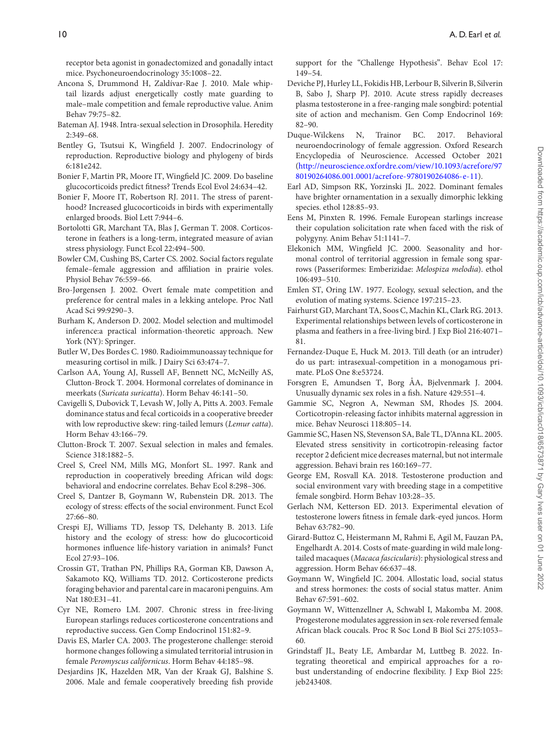receptor beta agonist in gonadectomized and gonadally intact mice. Psychoneuroendocrinology 35:1008–22.

- <span id="page-9-27"></span>Ancona S, Drummond H, Zaldívar-Rae J. 2010. Male whiptail lizards adjust energetically costly mate guarding to male–male competition and female reproductive value. Anim Behav 79:75–82.
- <span id="page-9-2"></span>Bateman AJ. 1948. Intra-sexual selection in Drosophila. Heredity 2:349–68.
- <span id="page-9-6"></span>Bentley G, Tsutsui K, Wingfield J. 2007. Endocrinology of reproduction. Reproductive biology and phylogeny of birds 6:181e242.
- <span id="page-9-12"></span>Bonier F, Martin PR, Moore IT, Wingfield JC. 2009. Do baseline glucocorticoids predict fitness? Trends Ecol Evol 24:634–42.
- <span id="page-9-24"></span>Bonier F, Moore IT, Robertson RJ. 2011. The stress of parenthood? Increased glucocorticoids in birds with experimentally enlarged broods. Biol Lett 7:944–6.
- <span id="page-9-35"></span>Bortolotti GR, Marchant TA, Blas J, German T. 2008. Corticosterone in feathers is a long-term, integrated measure of avian stress physiology. Funct Ecol 22:494–500.
- <span id="page-9-13"></span>Bowler CM, Cushing BS, Carter CS. 2002. Social factors regulate female–female aggression and affiliation in prairie voles. Physiol Behav 76:559–66.
- <span id="page-9-14"></span>Bro-Jørgensen J. 2002. Overt female mate competition and preference for central males in a lekking antelope. Proc Natl Acad Sci 99:9290–3.
- <span id="page-9-22"></span>Burham K, Anderson D. 2002. Model selection and multimodel inference:a practical information-theoretic approach. New York (NY): Springer.
- <span id="page-9-16"></span>Butler W, Des Bordes C. 1980. Radioimmunoassay technique for measuring cortisol in milk. J Dairy Sci 63:474–7.
- <span id="page-9-19"></span>Carlson AA, Young AJ, Russell AF, Bennett NC, McNeilly AS, Clutton-Brock T. 2004. Hormonal correlates of dominance in meerkats (*Suricata suricatta*). Horm Behav 46:141–50.
- <span id="page-9-9"></span>Cavigelli S, Dubovick T, Levash W, Jolly A, Pitts A. 2003. Female dominance status and fecal corticoids in a cooperative breeder with low reproductive skew: ring-tailed lemurs (*Lemur catta*). Horm Behav 43:166–79.
- <span id="page-9-0"></span>Clutton-Brock T. 2007. Sexual selection in males and females. Science 318:1882–5.
- <span id="page-9-18"></span>Creel S, Creel NM, Mills MG, Monfort SL. 1997. Rank and reproduction in cooperatively breeding African wild dogs: behavioral and endocrine correlates. Behav Ecol 8:298–306.
- <span id="page-9-21"></span>Creel S, Dantzer B, Goymann W, Rubenstein DR. 2013. The ecology of stress: effects of the social environment. Funct Ecol 27:66–80.
- <span id="page-9-7"></span>Crespi EJ, Williams TD, Jessop TS, Delehanty B. 2013. Life history and the ecology of stress: how do glucocorticoid hormones influence life-history variation in animals? Funct Ecol 27:93–106.
- <span id="page-9-26"></span>Crossin GT, Trathan PN, Phillips RA, Gorman KB, Dawson A, Sakamoto KQ, Williams TD. 2012. Corticosterone predicts foraging behavior and parental care in macaroni penguins. Am Nat 180:E31–41.
- <span id="page-9-25"></span>Cyr NE, Romero LM. 2007. Chronic stress in free-living European starlings reduces corticosterone concentrations and reproductive success. Gen Comp Endocrinol 151:82–9.
- <span id="page-9-33"></span>Davis ES, Marler CA. 2003. The progesterone challenge: steroid hormone changes following a simulated territorial intrusion in female *Peromyscus californicus*. Horm Behav 44:185–98.
- <span id="page-9-30"></span>Desjardins JK, Hazelden MR, Van der Kraak GJ, Balshine S. 2006. Male and female cooperatively breeding fish provide

support for the "Challenge Hypothesis". Behav Ecol 17: 149–54.

- <span id="page-9-8"></span>Deviche PJ, Hurley LL, Fokidis HB, Lerbour B, Silverin B, Silverin B, Sabo J, Sharp PJ. 2010. Acute stress rapidly decreases plasma testosterone in a free-ranging male songbird: potential site of action and mechanism. Gen Comp Endocrinol 169: 82–90.
- <span id="page-9-1"></span>Duque-Wilckens N, Trainor BC. 2017. Behavioral neuroendocrinology of female aggression. Oxford Research Encyclopedia of Neuroscience. Accessed October 2021 [\(http://neuroscience.oxfordre.com/view/10.1093/acrefore/97](http://neuroscience.oxfordre.com/view/10.1093/acrefore/9780190264086.001.0001/acrefore-9780190264086-e-11) 80190264086.001.0001/acrefore-9780190264086-e-11).
- <span id="page-9-17"></span>Earl AD, Simpson RK, Yorzinski JL. 2022. Dominant females have brighter ornamentation in a sexually dimorphic lekking species. ethol 128:85–93.
- <span id="page-9-5"></span>Eens M, Pinxten R. 1996. Female European starlings increase their copulation solicitation rate when faced with the risk of polygyny. Anim Behav 51:1141–7.
- <span id="page-9-32"></span>Elekonich MM, Wingfield JC. 2000. Seasonality and hormonal control of territorial aggression in female song sparrows (Passeriformes: Emberizidae: *Melospiza melodia*). ethol 106:493–510.
- <span id="page-9-3"></span>Emlen ST, Oring LW. 1977. Ecology, sexual selection, and the evolution of mating systems. Science 197:215–23.
- <span id="page-9-36"></span>Fairhurst GD, Marchant TA, Soos C, Machin KL, Clark RG. 2013. Experimental relationships between levels of corticosterone in plasma and feathers in a free-living bird. J Exp Biol 216:4071– 81.
- <span id="page-9-4"></span>Fernandez-Duque E, Huck M. 2013. Till death (or an intruder) do us part: intrasexual-competition in a monogamous primate. PLoS One 8:e53724.
- <span id="page-9-15"></span>Forsgren E, Amundsen T, Borg ÅA, Bjelvenmark J. 2004. Unusually dynamic sex roles in a fish. Nature 429:551–4.
- <span id="page-9-10"></span>Gammie SC, Negron A, Newman SM, Rhodes JS. 2004. Corticotropin-releasing factor inhibits maternal aggression in mice. Behav Neurosci 118:805–14.
- <span id="page-9-11"></span>Gammie SC, Hasen NS, Stevenson SA, Bale TL, D'Anna KL. 2005. Elevated stress sensitivity in corticotropin-releasing factor receptor 2 deficient mice decreases maternal, but not intermale aggression. Behavi brain res 160:169–77.
- <span id="page-9-31"></span>George EM, Rosvall KA. 2018. Testosterone production and social environment vary with breeding stage in a competitive female songbird. Horm Behav 103:28–35.
- <span id="page-9-34"></span>Gerlach NM, Ketterson ED. 2013. Experimental elevation of testosterone lowers fitness in female dark-eyed juncos. Horm Behav 63:782–90.
- <span id="page-9-28"></span>Girard-Buttoz C, Heistermann M, Rahmi E, Agil M, Fauzan PA, Engelhardt A. 2014. Costs of mate-guarding in wild male longtailed macaques (*Macaca fascicularis*): physiological stress and aggression. Horm Behav 66:637–48.
- <span id="page-9-20"></span>Goymann W, Wingfield JC. 2004. Allostatic load, social status and stress hormones: the costs of social status matter. Anim Behav 67:591–602.
- <span id="page-9-29"></span>Goymann W, Wittenzellner A, Schwabl I, Makomba M. 2008. Progesterone modulates aggression in sex-role reversed female African black coucals. Proc R Soc Lond B Biol Sci 275:1053– 60.
- <span id="page-9-23"></span>Grindstaff JL, Beaty LE, Ambardar M, Luttbeg B. 2022. Integrating theoretical and empirical approaches for a robust understanding of endocrine flexibility. J Exp Biol 225: jeb243408.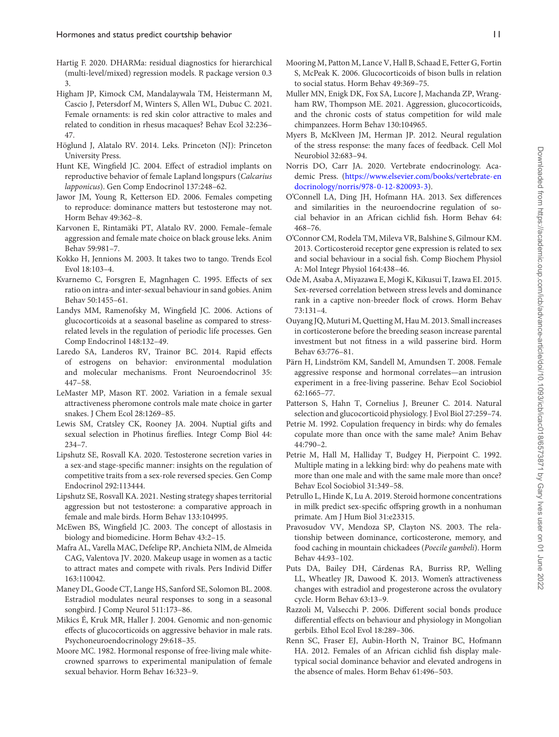- <span id="page-10-26"></span>Hartig F. 2020. DHARMa: residual diagnostics for hierarchical (multi-level/mixed) regression models. R package version 0.3 3.
- <span id="page-10-32"></span>Higham JP, Kimock CM, Mandalaywala TM, Heistermann M, Cascio J, Petersdorf M, Winters S, Allen WL, Dubuc C. 2021. Female ornaments: is red skin color attractive to males and related to condition in rhesus macaques? Behav Ecol 32:236– 47.
- <span id="page-10-20"></span>Höglund J, Alatalo RV. 2014. Leks. Princeton (NJ): Princeton University Press.
- <span id="page-10-28"></span>Hunt KE, Wingfield JC. 2004. Effect of estradiol implants on reproductive behavior of female Lapland longspurs (*Calcarius lapponicus*). Gen Comp Endocrinol 137:248–62.
- <span id="page-10-34"></span>Jawor JM, Young R, Ketterson ED. 2006. Females competing to reproduce: dominance matters but testosterone may not. Horm Behav 49:362–8.
- <span id="page-10-21"></span>Karvonen E, Rintamäki PT, Alatalo RV. 2000. Female–female aggression and female mate choice on black grouse leks. Anim Behav 59:981–7.
- <span id="page-10-0"></span>Kokko H, Jennions M. 2003. It takes two to tango. Trends Ecol Evol 18:103–4.
- <span id="page-10-15"></span>Kvarnemo C, Forsgren E, Magnhagen C. 1995. Effects of sex ratio on intra-and inter-sexual behaviour in sand gobies. Anim Behav 50:1455–61.
- <span id="page-10-9"></span>Landys MM, Ramenofsky M, Wingfield JC. 2006. Actions of glucocorticoids at a seasonal baseline as compared to stressrelated levels in the regulation of periodic life processes. Gen Comp Endocrinol 148:132–49.
- <span id="page-10-3"></span>Laredo SA, Landeros RV, Trainor BC. 2014. Rapid effects of estrogens on behavior: environmental modulation and molecular mechanisms. Front Neuroendocrinol 35: 447–58.
- <span id="page-10-33"></span>LeMaster MP, Mason RT. 2002. Variation in a female sexual attractiveness pheromone controls male mate choice in garter snakes. J Chem Ecol 28:1269–85.
- <span id="page-10-16"></span>Lewis SM, Cratsley CK, Rooney JA. 2004. Nuptial gifts and sexual selection in Photinus fireflies. Integr Comp Biol 44: 234–7.
- <span id="page-10-1"></span>Lipshutz SE, Rosvall KA. 2020. Testosterone secretion varies in a sex-and stage-specific manner: insights on the regulation of competitive traits from a sex-role reversed species. Gen Comp Endocrinol 292:113444.
- <span id="page-10-2"></span>Lipshutz SE, Rosvall KA. 2021. Nesting strategy shapes territorial aggression but not testosterone: a comparative approach in female and male birds. Horm Behav 133:104995.
- <span id="page-10-8"></span>McEwen BS, Wingfield JC. 2003. The concept of allostasis in biology and biomedicine. Horm Behav 43:2–15.
- <span id="page-10-18"></span>Mafra AL, Varella MAC, Defelipe RP, Anchieta NlM, de Almeida CAG, Valentova JV. 2020. Makeup usage in women as a tactic to attract mates and compete with rivals. Pers Individ Differ 163:110042.
- <span id="page-10-6"></span>Maney DL, Goode CT, Lange HS, Sanford SE, Solomon BL. 2008. Estradiol modulates neural responses to song in a seasonal songbird. J Comp Neurol 511:173–86.
- <span id="page-10-10"></span>Mikics É, Kruk MR, Haller J. 2004. Genomic and non-genomic effects of glucocorticoids on aggressive behavior in male rats. Psychoneuroendocrinology 29:618–35.
- <span id="page-10-5"></span>Moore MC. 1982. Hormonal response of free-living male whitecrowned sparrows to experimental manipulation of female sexual behavior. Horm Behav 16:323–9.
- <span id="page-10-25"></span>Mooring M, Patton M, Lance V, Hall B, Schaad E, Fetter G, Fortin S, McPeak K. 2006. Glucocorticoids of bison bulls in relation to social status. Horm Behav 49:369–75.
- <span id="page-10-11"></span>Muller MN, Enigk DK, Fox SA, Lucore J, Machanda ZP, Wrangham RW, Thompson ME. 2021. Aggression, glucocorticoids, and the chronic costs of status competition for wild male chimpanzees. Horm Behav 130:104965.
- <span id="page-10-13"></span>Myers B, McKlveen JM, Herman JP. 2012. Neural regulation of the stress response: the many faces of feedback. Cell Mol Neurobiol 32:683–94.
- <span id="page-10-4"></span>Norris DO, Carr JA. 2020. Vertebrate endocrinology. Aca[demic Press. \(https://www.elsevier.com/books/vertebrate-en](https://www.elsevier.com/books/vertebrate-endocrinology/norris/978-0-12-820093-3) docrinology/norris/978-0-12-820093-3).
- <span id="page-10-24"></span>O'Connell LA, Ding JH, Hofmann HA. 2013. Sex differences and similarities in the neuroendocrine regulation of social behavior in an African cichlid fish. Horm Behav 64: 468–76.
- <span id="page-10-35"></span>O'Connor CM, Rodela TM, Mileva VR, Balshine S, Gilmour KM. 2013. Corticosteroid receptor gene expression is related to sex and social behaviour in a social fish. Comp Biochem Physiol A: Mol Integr Physiol 164:438–46.
- <span id="page-10-14"></span>Ode M, Asaba A, Miyazawa E, Mogi K, Kikusui T, Izawa EI. 2015. Sex-reversed correlation between stress levels and dominance rank in a captive non-breeder flock of crows. Horm Behav 73:131–4.
- <span id="page-10-29"></span>Ouyang JQ, Muturi M, Quetting M, Hau M. 2013. Small increases in corticosterone before the breeding season increase parental investment but not fitness in a wild passerine bird. Horm Behav 63:776–81.
- <span id="page-10-7"></span>Pärn H, Lindström KM, Sandell M, Amundsen T. 2008. Female aggressive response and hormonal correlates—an intrusion experiment in a free-living passerine. Behav Ecol Sociobiol 62:1665–77.
- <span id="page-10-30"></span>Patterson S, Hahn T, Cornelius J, Breuner C. 2014. Natural selection and glucocorticoid physiology. J Evol Biol 27:259–74.
- <span id="page-10-27"></span>Petrie M. 1992. Copulation frequency in birds: why do females copulate more than once with the same male? Anim Behav 44:790–2.
- <span id="page-10-19"></span>Petrie M, Hall M, Halliday T, Budgey H, Pierpoint C. 1992. Multiple mating in a lekking bird: why do peahens mate with more than one male and with the same male more than once? Behav Ecol Sociobiol 31:349–58.
- <span id="page-10-22"></span>Petrullo L, Hinde K, Lu A. 2019. Steroid hormone concentrations in milk predict sex-specific offspring growth in a nonhuman primate. Am J Hum Biol 31:e23315.
- <span id="page-10-12"></span>Pravosudov VV, Mendoza SP, Clayton NS. 2003. The relationship between dominance, corticosterone, memory, and food caching in mountain chickadees (*Poecile gambeli*). Horm Behav 44:93–102.
- <span id="page-10-31"></span>Puts DA, Bailey DH, Cárdenas RA, Burriss RP, Welling LL, Wheatley JR, Dawood K. 2013. Women's attractiveness changes with estradiol and progesterone across the ovulatory cycle. Horm Behav 63:13–9.
- <span id="page-10-17"></span>Razzoli M, Valsecchi P. 2006. Different social bonds produce differential effects on behaviour and physiology in Mongolian gerbils. Ethol Ecol Evol 18:289–306.
- <span id="page-10-23"></span>Renn SC, Fraser EJ, Aubin-Horth N, Trainor BC, Hofmann HA. 2012. Females of an African cichlid fish display maletypical social dominance behavior and elevated androgens in the absence of males. Horm Behav 61:496–503.